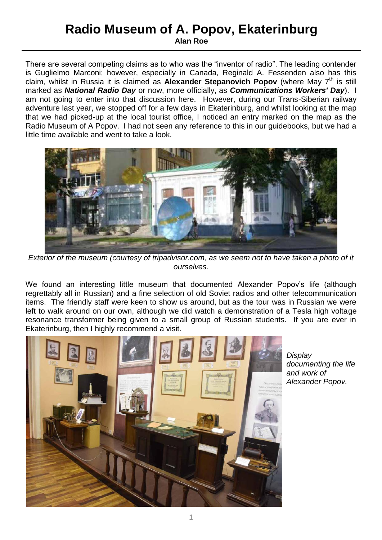## **Radio Museum of A. Popov, Ekaterinburg**

**Alan Roe**

There are several competing claims as to who was the "inventor of radio". The leading contender is Guglielmo Marconi; however, especially in Canada, Reginald A. Fessenden also has this claim, whilst in Russia it is claimed as **Alexander Stepanovich Popov** (where May 7<sup>th</sup> is still marked as *National Radio Day* or now, more officially, as *Communications Workers' Day*). I am not going to enter into that discussion here. However, during our Trans-Siberian railway adventure last year, we stopped off for a few days in Ekaterinburg, and whilst looking at the map that we had picked-up at the local tourist office, I noticed an entry marked on the map as the Radio Museum of A Popov. I had not seen any reference to this in our guidebooks, but we had a little time available and went to take a look.



*Exterior of the museum (courtesy of tripadvisor.com, as we seem not to have taken a photo of it ourselves.*

We found an interesting little museum that documented Alexander Popov's life (although regrettably all in Russian) and a fine selection of old Soviet radios and other telecommunication items. The friendly staff were keen to show us around, but as the tour was in Russian we were left to walk around on our own, although we did watch a demonstration of a Tesla high voltage resonance transformer being given to a small group of Russian students. If you are ever in Ekaterinburg, then I highly recommend a visit.



*Display documenting the life and work of Alexander Popov.*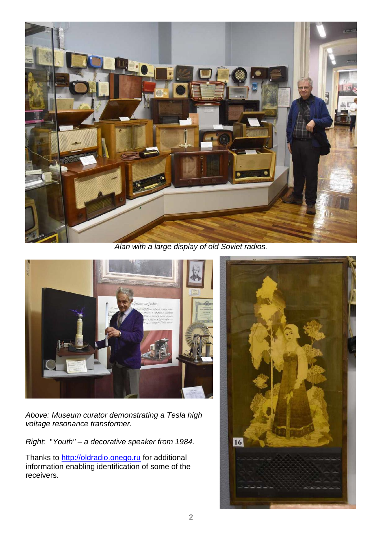

*Alan with a large display of old Soviet radios.*



*Above: Museum curator demonstrating a Tesla high voltage resonance transformer.*

*Right:* "*Youth" – a decorative speaker from 1984.*

Thanks to [http://oldradio.onego.ru](http://oldradio.onego.ru/) for additional information enabling identification of some of the receivers.

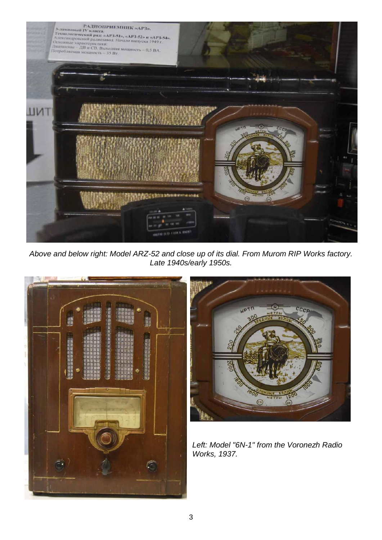

*Above and below right: Model ARZ-52 and close up of its dial. From Murom RIP Works factory. Late 1940s/early 1950s.*





*Left: Model "6N-1" from the Voronezh Radio Works, 1937.*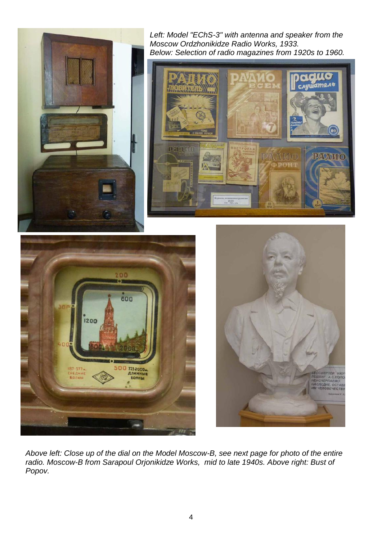

*Left: Model "EChS-3" with antenna and speaker from the Moscow Ordzhonikidze Radio Works, 1933. Below: Selection of radio magazines from 1920s to 1960.*







*Above left: Close up of the dial on the Model Moscow-B, see next page for photo of the entire radio. Moscow-B from Sarapoul Orjonikidze Works, mid to late 1940s. Above right: Bust of Popov.*